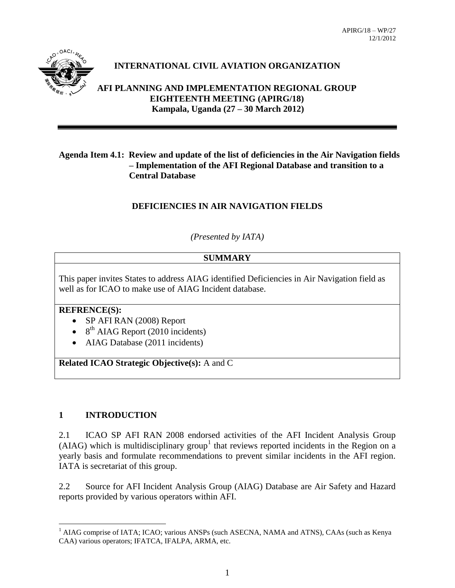

#### **INTERNATIONAL CIVIL AVIATION ORGANIZATION**

**AFI PLANNING AND IMPLEMENTATION REGIONAL GROUP EIGHTEENTH MEETING (APIRG/18) Kampala, Uganda (27 – 30 March 2012)**

#### **Agenda Item 4.1: Review and update of the list of deficiencies in the Air Navigation fields – Implementation of the AFI Regional Database and transition to a Central Database**

#### **DEFICIENCIES IN AIR NAVIGATION FIELDS**

#### *(Presented by IATA)*

#### **SUMMARY**

This paper invites States to address AIAG identified Deficiencies in Air Navigation field as well as for ICAO to make use of AIAG Incident database.

#### **REFRENCE(S):**

- SP AFI RAN (2008) Report
- $\bullet$  8<sup>th</sup> AIAG Report (2010 incidents)
- AIAG Database (2011 incidents)

**Related ICAO Strategic Objective(s):** A and C

#### **1 INTRODUCTION**

 $\overline{a}$ 

2.1 ICAO SP AFI RAN 2008 endorsed activities of the AFI Incident Analysis Group (AIAG) which is multidisciplinary group<sup>1</sup> that reviews reported incidents in the Region on a yearly basis and formulate recommendations to prevent similar incidents in the AFI region. IATA is secretariat of this group.

2.2 Source for AFI Incident Analysis Group (AIAG) Database are Air Safety and Hazard reports provided by various operators within AFI.

<sup>&</sup>lt;sup>1</sup> AIAG comprise of IATA; ICAO; various ANSPs (such ASECNA, NAMA and ATNS), CAAs (such as Kenya CAA) various operators; IFATCA, IFALPA, ARMA, etc.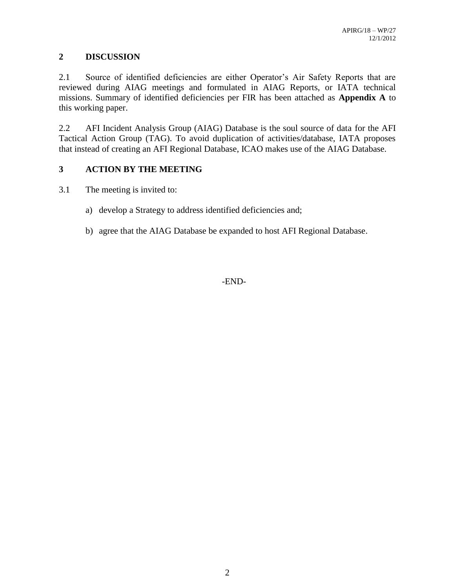#### **2 DISCUSSION**

2.1 Source of identified deficiencies are either Operator's Air Safety Reports that are reviewed during AIAG meetings and formulated in AIAG Reports, or IATA technical missions. Summary of identified deficiencies per FIR has been attached as **Appendix A** to this working paper.

2.2 AFI Incident Analysis Group (AIAG) Database is the soul source of data for the AFI Tactical Action Group (TAG). To avoid duplication of activities/database, IATA proposes that instead of creating an AFI Regional Database, ICAO makes use of the AIAG Database.

#### **3 ACTION BY THE MEETING**

- 3.1 The meeting is invited to:
	- a) develop a Strategy to address identified deficiencies and;
	- b) agree that the AIAG Database be expanded to host AFI Regional Database.

-END-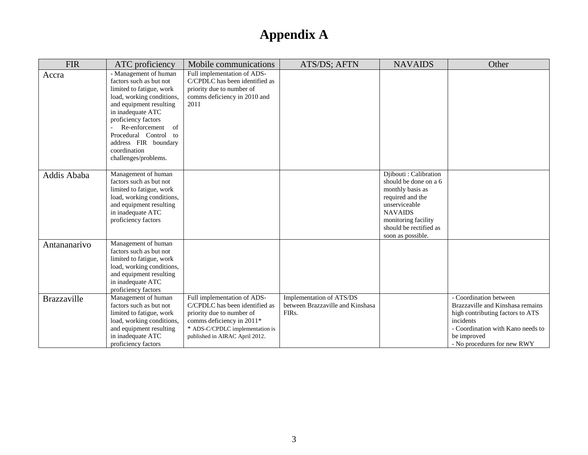| <b>FIR</b>         | ATC proficiency                                                                                                                                                                                                                                                                                   | Mobile communications                                                                                                                                                                        | ATS/DS; AFTN                                                                       | <b>NAVAIDS</b>                                                                                                                                                                                   | Other                                                                                                                                                                                          |
|--------------------|---------------------------------------------------------------------------------------------------------------------------------------------------------------------------------------------------------------------------------------------------------------------------------------------------|----------------------------------------------------------------------------------------------------------------------------------------------------------------------------------------------|------------------------------------------------------------------------------------|--------------------------------------------------------------------------------------------------------------------------------------------------------------------------------------------------|------------------------------------------------------------------------------------------------------------------------------------------------------------------------------------------------|
| Accra              | - Management of human<br>factors such as but not<br>limited to fatigue, work<br>load, working conditions,<br>and equipment resulting<br>in inadequate ATC<br>proficiency factors<br>Re-enforcement<br>of<br>Procedural Control to<br>address FIR boundary<br>coordination<br>challenges/problems. | Full implementation of ADS-<br>C/CPDLC has been identified as<br>priority due to number of<br>comms deficiency in 2010 and<br>2011                                                           |                                                                                    |                                                                                                                                                                                                  |                                                                                                                                                                                                |
| Addis Ababa        | Management of human<br>factors such as but not<br>limited to fatigue, work<br>load, working conditions,<br>and equipment resulting<br>in inadequate ATC<br>proficiency factors                                                                                                                    |                                                                                                                                                                                              |                                                                                    | Djibouti : Calibration<br>should be done on a 6<br>monthly basis as<br>required and the<br>unserviceable<br><b>NAVAIDS</b><br>monitoring facility<br>should be rectified as<br>soon as possible. |                                                                                                                                                                                                |
| Antananarivo       | Management of human<br>factors such as but not<br>limited to fatigue, work<br>load, working conditions,<br>and equipment resulting<br>in inadequate ATC<br>proficiency factors                                                                                                                    |                                                                                                                                                                                              |                                                                                    |                                                                                                                                                                                                  |                                                                                                                                                                                                |
| <b>Brazzaville</b> | Management of human<br>factors such as but not<br>limited to fatigue, work<br>load, working conditions,<br>and equipment resulting<br>in inadequate ATC<br>proficiency factors                                                                                                                    | Full implementation of ADS-<br>C/CPDLC has been identified as<br>priority due to number of<br>comms deficiency in 2011*<br>* ADS-C/CPDLC implementation is<br>published in AIRAC April 2012. | Implementation of ATS/DS<br>between Brazzaville and Kinshasa<br>FIR <sub>s</sub> . |                                                                                                                                                                                                  | - Coordination between<br>Brazzaville and Kinshasa remains<br>high contributing factors to ATS<br>incidents<br>- Coordination with Kano needs to<br>be improved<br>- No procedures for new RWY |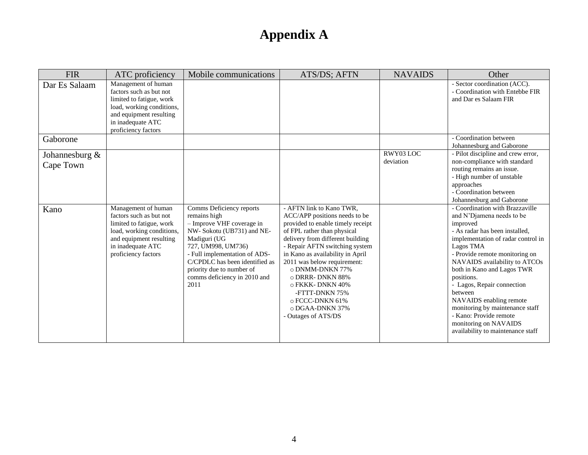| <b>FIR</b>                     | ATC proficiency                                                                                                                                                                | Mobile communications                                                                                                                                                                                                                                                             | ATS/DS; AFTN                                                                                                                                                                                                                                                                                                                                                                                                       | <b>NAVAIDS</b>         | Other                                                                                                                                                                                                                                                                                                                                                                                                                                                                       |
|--------------------------------|--------------------------------------------------------------------------------------------------------------------------------------------------------------------------------|-----------------------------------------------------------------------------------------------------------------------------------------------------------------------------------------------------------------------------------------------------------------------------------|--------------------------------------------------------------------------------------------------------------------------------------------------------------------------------------------------------------------------------------------------------------------------------------------------------------------------------------------------------------------------------------------------------------------|------------------------|-----------------------------------------------------------------------------------------------------------------------------------------------------------------------------------------------------------------------------------------------------------------------------------------------------------------------------------------------------------------------------------------------------------------------------------------------------------------------------|
| Dar Es Salaam                  | Management of human<br>factors such as but not<br>limited to fatigue, work<br>load, working conditions,<br>and equipment resulting<br>in inadequate ATC<br>proficiency factors |                                                                                                                                                                                                                                                                                   |                                                                                                                                                                                                                                                                                                                                                                                                                    |                        | - Sector coordination (ACC).<br>- Coordination with Entebbe FIR<br>and Dar es Salaam FIR                                                                                                                                                                                                                                                                                                                                                                                    |
| Gaborone                       |                                                                                                                                                                                |                                                                                                                                                                                                                                                                                   |                                                                                                                                                                                                                                                                                                                                                                                                                    |                        | - Coordination between<br>Johannesburg and Gaborone                                                                                                                                                                                                                                                                                                                                                                                                                         |
| Johannesburg $\&$<br>Cape Town |                                                                                                                                                                                |                                                                                                                                                                                                                                                                                   |                                                                                                                                                                                                                                                                                                                                                                                                                    | RWY03 LOC<br>deviation | - Pilot discipline and crew error,<br>non-compliance with standard<br>routing remains an issue.<br>- High number of unstable<br>approaches<br>- Coordination between<br>Johannesburg and Gaborone                                                                                                                                                                                                                                                                           |
| Kano                           | Management of human<br>factors such as but not<br>limited to fatigue, work<br>load, working conditions,<br>and equipment resulting<br>in inadequate ATC<br>proficiency factors | Comms Deficiency reports<br>remains high<br>- Improve VHF coverage in<br>NW- Sokotu (UB731) and NE-<br>Madiguri (UG<br>727, UM998, UM736)<br>- Full implementation of ADS-<br>C/CPDLC has been identified as<br>priority due to number of<br>comms deficiency in 2010 and<br>2011 | - AFTN link to Kano TWR,<br>ACC/APP positions needs to be<br>provided to enable timely receipt<br>of FPL rather than physical<br>delivery from different building<br>- Repair AFTN switching system<br>in Kano as availability in April<br>2011 was below requirement:<br>o DNMM-DNKN 77%<br>o DRRR-DNKN 88%<br>o FKKK-DNKN 40%<br>-FTTT-DNKN 75%<br>$\circ$ FCCC-DNKN 61%<br>o DGAA-DNKN 37%<br>Outages of ATS/DS |                        | - Coordination with Brazzaville<br>and N'Djamena needs to be<br>improved<br>- As radar has been installed,<br>implementation of radar control in<br>Lagos TMA<br>- Provide remote monitoring on<br>NAVAIDS availability to ATCOs<br>both in Kano and Lagos TWR<br>positions.<br>- Lagos, Repair connection<br>between<br>NAVAIDS enabling remote<br>monitoring by maintenance staff<br>- Kano: Provide remote<br>monitoring on NAVAIDS<br>availability to maintenance staff |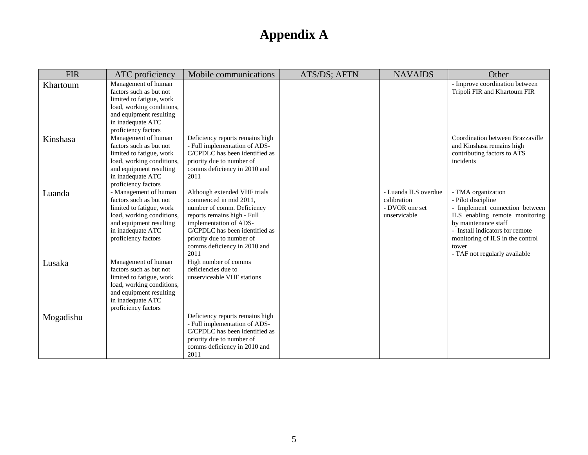| <b>FIR</b> | ATC proficiency                                                                                                                                                                  | Mobile communications                                                                                                                                                                                                                                | ATS/DS; AFTN | <b>NAVAIDS</b>                                                        | Other                                                                                                                                                                                                                                                 |
|------------|----------------------------------------------------------------------------------------------------------------------------------------------------------------------------------|------------------------------------------------------------------------------------------------------------------------------------------------------------------------------------------------------------------------------------------------------|--------------|-----------------------------------------------------------------------|-------------------------------------------------------------------------------------------------------------------------------------------------------------------------------------------------------------------------------------------------------|
| Khartoum   | Management of human<br>factors such as but not<br>limited to fatigue, work<br>load, working conditions,<br>and equipment resulting<br>in inadequate ATC<br>proficiency factors   |                                                                                                                                                                                                                                                      |              |                                                                       | - Improve coordination between<br>Tripoli FIR and Khartoum FIR                                                                                                                                                                                        |
| Kinshasa   | Management of human<br>factors such as but not<br>limited to fatigue, work<br>load, working conditions,<br>and equipment resulting<br>in inadequate ATC<br>proficiency factors   | Deficiency reports remains high<br>- Full implementation of ADS-<br>C/CPDLC has been identified as<br>priority due to number of<br>comms deficiency in 2010 and<br>2011                                                                              |              |                                                                       | Coordination between Brazzaville<br>and Kinshasa remains high<br>contributing factors to ATS<br>incidents                                                                                                                                             |
| Luanda     | - Management of human<br>factors such as but not<br>limited to fatigue, work<br>load, working conditions,<br>and equipment resulting<br>in inadequate ATC<br>proficiency factors | Although extended VHF trials<br>commenced in mid 2011,<br>number of comm. Deficiency<br>reports remains high - Full<br>implementation of ADS-<br>C/CPDLC has been identified as<br>priority due to number of<br>comms deficiency in 2010 and<br>2011 |              | - Luanda ILS overdue<br>calibration<br>- DVOR one set<br>unservicable | - TMA organization<br>- Pilot discipline<br>- Implement connection between<br>ILS enabling remote monitoring<br>by maintenance staff<br>- Install indicators for remote<br>monitoring of ILS in the control<br>tower<br>- TAF not regularly available |
| Lusaka     | Management of human<br>factors such as but not<br>limited to fatigue, work<br>load, working conditions,<br>and equipment resulting<br>in inadequate ATC<br>proficiency factors   | High number of comms<br>deficiencies due to<br>unserviceable VHF stations                                                                                                                                                                            |              |                                                                       |                                                                                                                                                                                                                                                       |
| Mogadishu  |                                                                                                                                                                                  | Deficiency reports remains high<br>- Full implementation of ADS-<br>C/CPDLC has been identified as<br>priority due to number of<br>comms deficiency in 2010 and<br>2011                                                                              |              |                                                                       |                                                                                                                                                                                                                                                       |